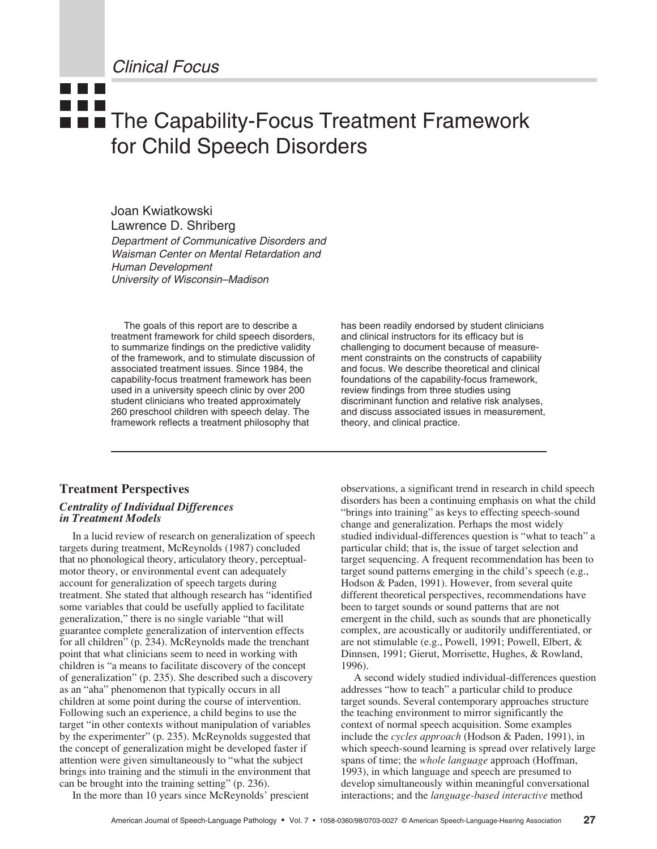Clinical Focus

# <u>a ka</u> **The Capability-Focus Treatment Framework** for Child Speech Disorders

Joan Kwiatkowski Lawrence D. Shriberg

Department of Communicative Disorders and Waisman Center on Mental Retardation and Human Development University of Wisconsin–Madison

The goals of this report are to describe a treatment framework for child speech disorders, to summarize findings on the predictive validity of the framework, and to stimulate discussion of associated treatment issues. Since 1984, the capability-focus treatment framework has been used in a university speech clinic by over 200 student clinicians who treated approximately 260 preschool children with speech delay. The framework reflects a treatment philosophy that

**Treatment Perspectives**

# *Centrality of Individual Differences in Treatment Models*

In a lucid review of research on generalization of speech targets during treatment, McReynolds (1987) concluded that no phonological theory, articulatory theory, perceptualmotor theory, or environmental event can adequately account for generalization of speech targets during treatment. She stated that although research has "identified some variables that could be usefully applied to facilitate generalization," there is no single variable "that will guarantee complete generalization of intervention effects for all children" (p. 234). McReynolds made the trenchant point that what clinicians seem to need in working with children is "a means to facilitate discovery of the concept of generalization" (p. 235). She described such a discovery as an "aha" phenomenon that typically occurs in all children at some point during the course of intervention. Following such an experience, a child begins to use the target "in other contexts without manipulation of variables by the experimenter" (p. 235). McReynolds suggested that the concept of generalization might be developed faster if attention were given simultaneously to "what the subject brings into training and the stimuli in the environment that can be brought into the training setting" (p. 236).

In the more than 10 years since McReynolds' prescient

has been readily endorsed by student clinicians and clinical instructors for its efficacy but is challenging to document because of measurement constraints on the constructs of capability and focus. We describe theoretical and clinical foundations of the capability-focus framework, review findings from three studies using discriminant function and relative risk analyses, and discuss associated issues in measurement, theory, and clinical practice.

observations, a significant trend in research in child speech disorders has been a continuing emphasis on what the child "brings into training" as keys to effecting speech-sound change and generalization. Perhaps the most widely studied individual-differences question is "what to teach" a particular child; that is, the issue of target selection and target sequencing. A frequent recommendation has been to target sound patterns emerging in the child's speech (e.g., Hodson & Paden, 1991). However, from several quite different theoretical perspectives, recommendations have been to target sounds or sound patterns that are not emergent in the child, such as sounds that are phonetically complex, are acoustically or auditorily undifferentiated, or are not stimulable (e.g., Powell, 1991; Powell, Elbert, & Dinnsen, 1991; Gierut, Morrisette, Hughes, & Rowland, 1996).

A second widely studied individual-differences question addresses "how to teach" a particular child to produce target sounds. Several contemporary approaches structure the teaching environment to mirror significantly the context of normal speech acquisition. Some examples include the *cycles approach* (Hodson & Paden, 1991), in which speech-sound learning is spread over relatively large spans of time; the *whole language* approach (Hoffman, 1993), in which language and speech are presumed to develop simultaneously within meaningful conversational interactions; and the *language-based interactive* method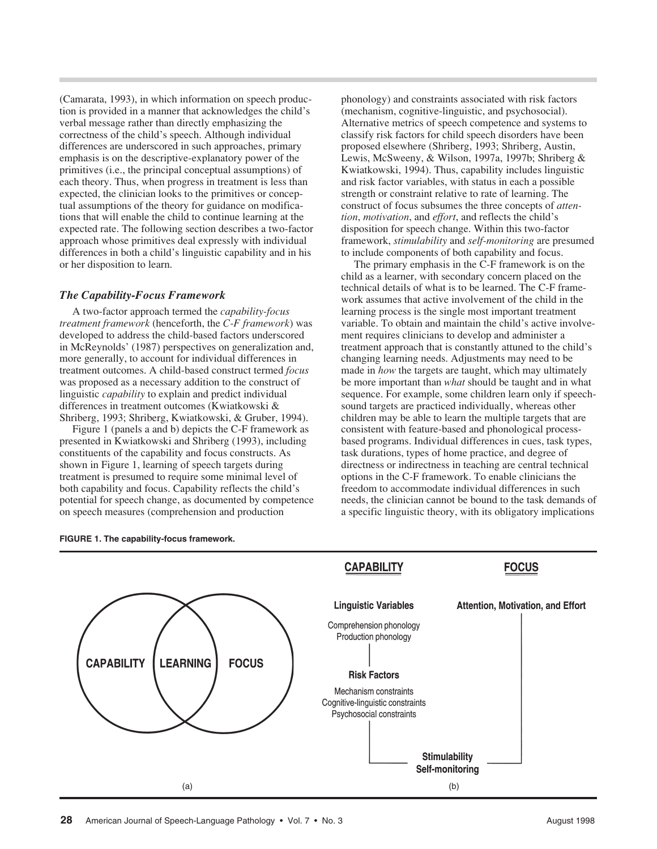(Camarata, 1993), in which information on speech production is provided in a manner that acknowledges the child's verbal message rather than directly emphasizing the correctness of the child's speech. Although individual differences are underscored in such approaches, primary emphasis is on the descriptive-explanatory power of the primitives (i.e., the principal conceptual assumptions) of each theory. Thus, when progress in treatment is less than expected, the clinician looks to the primitives or conceptual assumptions of the theory for guidance on modifications that will enable the child to continue learning at the expected rate. The following section describes a two-factor approach whose primitives deal expressly with individual differences in both a child's linguistic capability and in his or her disposition to learn.

#### *The Capability-Focus Framework*

A two-factor approach termed the *capability-focus treatment framework* (henceforth, the *C-F framework*) was developed to address the child-based factors underscored in McReynolds' (1987) perspectives on generalization and, more generally, to account for individual differences in treatment outcomes. A child-based construct termed *focus* was proposed as a necessary addition to the construct of linguistic *capability* to explain and predict individual differences in treatment outcomes (Kwiatkowski & Shriberg, 1993; Shriberg, Kwiatkowski, & Gruber, 1994).

Figure 1 (panels a and b) depicts the C-F framework as presented in Kwiatkowski and Shriberg (1993), including constituents of the capability and focus constructs. As shown in Figure 1, learning of speech targets during treatment is presumed to require some minimal level of both capability and focus. Capability reflects the child's potential for speech change, as documented by competence on speech measures (comprehension and production

phonology) and constraints associated with risk factors (mechanism, cognitive-linguistic, and psychosocial). Alternative metrics of speech competence and systems to classify risk factors for child speech disorders have been proposed elsewhere (Shriberg, 1993; Shriberg, Austin, Lewis, McSweeny, & Wilson, 1997a, 1997b; Shriberg & Kwiatkowski, 1994). Thus, capability includes linguistic and risk factor variables, with status in each a possible strength or constraint relative to rate of learning. The construct of focus subsumes the three concepts of *attention*, *motivation*, and *effort*, and reflects the child's disposition for speech change. Within this two-factor framework, *stimulability* and *self-monitoring* are presumed to include components of both capability and focus.

The primary emphasis in the C-F framework is on the child as a learner, with secondary concern placed on the technical details of what is to be learned. The C-F framework assumes that active involvement of the child in the learning process is the single most important treatment variable. To obtain and maintain the child's active involvement requires clinicians to develop and administer a treatment approach that is constantly attuned to the child's changing learning needs. Adjustments may need to be made in *how* the targets are taught, which may ultimately be more important than *what* should be taught and in what sequence. For example, some children learn only if speechsound targets are practiced individually, whereas other children may be able to learn the multiple targets that are consistent with feature-based and phonological processbased programs. Individual differences in cues, task types, task durations, types of home practice, and degree of directness or indirectness in teaching are central technical options in the C-F framework. To enable clinicians the freedom to accommodate individual differences in such needs, the clinician cannot be bound to the task demands of a specific linguistic theory, with its obligatory implications



**CAPABILITY** 

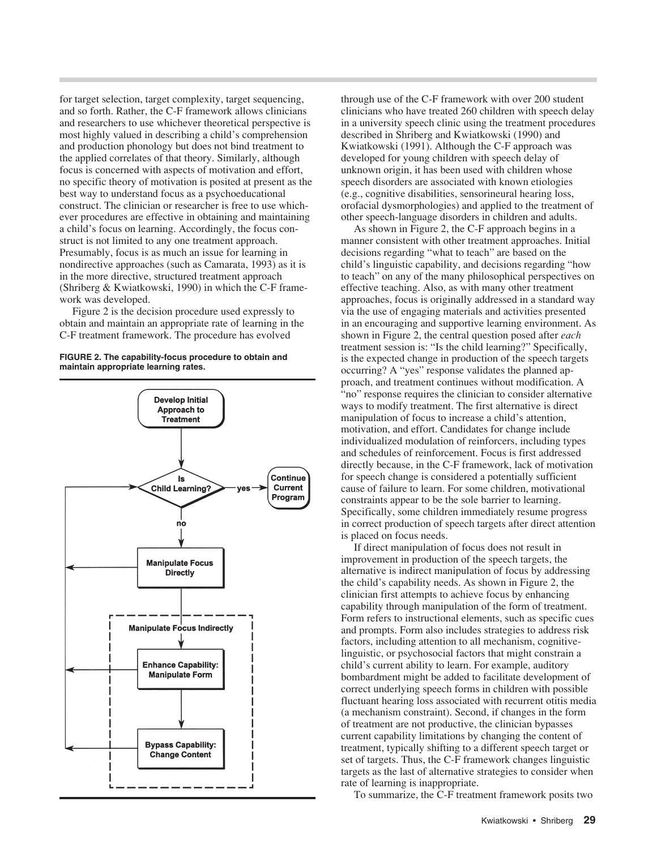for target selection, target complexity, target sequencing, and so forth. Rather, the C-F framework allows clinicians and researchers to use whichever theoretical perspective is most highly valued in describing a child's comprehension and production phonology but does not bind treatment to the applied correlates of that theory. Similarly, although focus is concerned with aspects of motivation and effort, no specific theory of motivation is posited at present as the best way to understand focus as a psychoeducational construct. The clinician or researcher is free to use whichever procedures are effective in obtaining and maintaining a child's focus on learning. Accordingly, the focus construct is not limited to any one treatment approach. Presumably, focus is as much an issue for learning in nondirective approaches (such as Camarata, 1993) as it is in the more directive, structured treatment approach (Shriberg & Kwiatkowski, 1990) in which the C-F framework was developed.

Figure 2 is the decision procedure used expressly to obtain and maintain an appropriate rate of learning in the C-F treatment framework. The procedure has evolved





through use of the C-F framework with over 200 student clinicians who have treated 260 children with speech delay in a university speech clinic using the treatment procedures described in Shriberg and Kwiatkowski (1990) and Kwiatkowski (1991). Although the C-F approach was developed for young children with speech delay of unknown origin, it has been used with children whose speech disorders are associated with known etiologies (e.g., cognitive disabilities, sensorineural hearing loss, orofacial dysmorphologies) and applied to the treatment of other speech-language disorders in children and adults.

As shown in Figure 2, the C-F approach begins in a manner consistent with other treatment approaches. Initial decisions regarding "what to teach" are based on the child's linguistic capability, and decisions regarding "how to teach" on any of the many philosophical perspectives on effective teaching. Also, as with many other treatment approaches, focus is originally addressed in a standard way via the use of engaging materials and activities presented in an encouraging and supportive learning environment. As shown in Figure 2, the central question posed after *each* treatment session is: "Is the child learning?" Specifically, is the expected change in production of the speech targets occurring? A "yes" response validates the planned approach, and treatment continues without modification. A "no" response requires the clinician to consider alternative ways to modify treatment. The first alternative is direct manipulation of focus to increase a child's attention, motivation, and effort. Candidates for change include individualized modulation of reinforcers, including types and schedules of reinforcement. Focus is first addressed directly because, in the C-F framework, lack of motivation for speech change is considered a potentially sufficient cause of failure to learn. For some children, motivational constraints appear to be the sole barrier to learning. Specifically, some children immediately resume progress in correct production of speech targets after direct attention is placed on focus needs.

If direct manipulation of focus does not result in improvement in production of the speech targets, the alternative is indirect manipulation of focus by addressing the child's capability needs. As shown in Figure 2, the clinician first attempts to achieve focus by enhancing capability through manipulation of the form of treatment. Form refers to instructional elements, such as specific cues and prompts. Form also includes strategies to address risk factors, including attention to all mechanism, cognitivelinguistic, or psychosocial factors that might constrain a child's current ability to learn. For example, auditory bombardment might be added to facilitate development of correct underlying speech forms in children with possible fluctuant hearing loss associated with recurrent otitis media (a mechanism constraint). Second, if changes in the form of treatment are not productive, the clinician bypasses current capability limitations by changing the content of treatment, typically shifting to a different speech target or set of targets. Thus, the C-F framework changes linguistic targets as the last of alternative strategies to consider when rate of learning is inappropriate.

To summarize, the C-F treatment framework posits two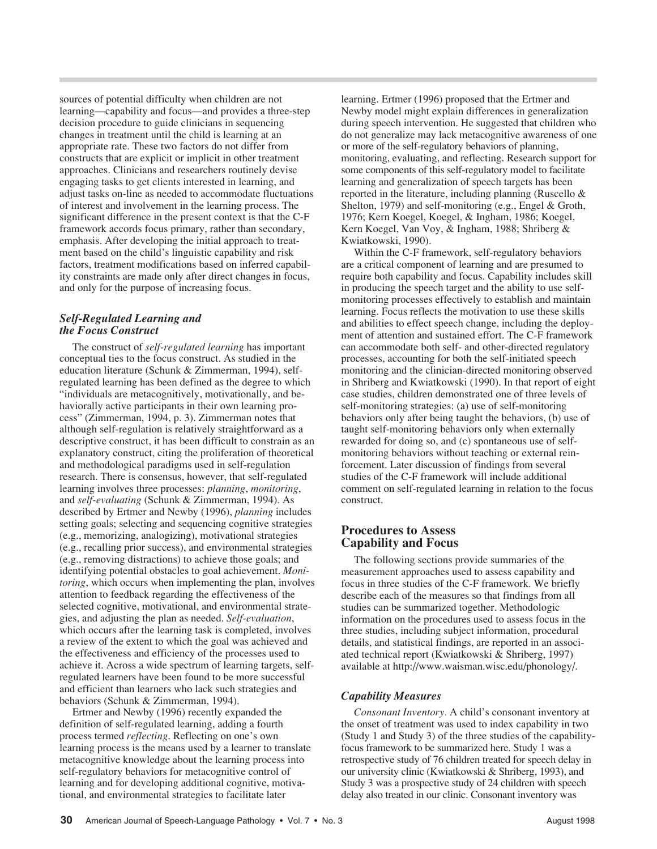sources of potential difficulty when children are not learning—capability and focus—and provides a three-step decision procedure to guide clinicians in sequencing changes in treatment until the child is learning at an appropriate rate. These two factors do not differ from constructs that are explicit or implicit in other treatment approaches. Clinicians and researchers routinely devise engaging tasks to get clients interested in learning, and adjust tasks on-line as needed to accommodate fluctuations of interest and involvement in the learning process. The significant difference in the present context is that the C-F framework accords focus primary, rather than secondary, emphasis. After developing the initial approach to treatment based on the child's linguistic capability and risk factors, treatment modifications based on inferred capability constraints are made only after direct changes in focus, and only for the purpose of increasing focus.

### *Self-Regulated Learning and the Focus Construct*

The construct of *self-regulated learning* has important conceptual ties to the focus construct. As studied in the education literature (Schunk & Zimmerman, 1994), selfregulated learning has been defined as the degree to which "individuals are metacognitively, motivationally, and behaviorally active participants in their own learning process" (Zimmerman, 1994, p. 3). Zimmerman notes that although self-regulation is relatively straightforward as a descriptive construct, it has been difficult to constrain as an explanatory construct, citing the proliferation of theoretical and methodological paradigms used in self-regulation research. There is consensus, however, that self-regulated learning involves three processes: *planning*, *monitoring*, and *self-evaluating* (Schunk & Zimmerman, 1994). As described by Ertmer and Newby (1996), *planning* includes setting goals; selecting and sequencing cognitive strategies (e.g., memorizing, analogizing), motivational strategies (e.g., recalling prior success), and environmental strategies (e.g., removing distractions) to achieve those goals; and identifying potential obstacles to goal achievement. *Monitoring*, which occurs when implementing the plan, involves attention to feedback regarding the effectiveness of the selected cognitive, motivational, and environmental strategies, and adjusting the plan as needed. *Self-evaluation*, which occurs after the learning task is completed, involves a review of the extent to which the goal was achieved and the effectiveness and efficiency of the processes used to achieve it. Across a wide spectrum of learning targets, selfregulated learners have been found to be more successful and efficient than learners who lack such strategies and behaviors (Schunk & Zimmerman, 1994).

Ertmer and Newby (1996) recently expanded the definition of self-regulated learning, adding a fourth process termed *reflecting*. Reflecting on one's own learning process is the means used by a learner to translate metacognitive knowledge about the learning process into self-regulatory behaviors for metacognitive control of learning and for developing additional cognitive, motivational, and environmental strategies to facilitate later

learning. Ertmer (1996) proposed that the Ertmer and Newby model might explain differences in generalization during speech intervention. He suggested that children who do not generalize may lack metacognitive awareness of one or more of the self-regulatory behaviors of planning, monitoring, evaluating, and reflecting. Research support for some components of this self-regulatory model to facilitate learning and generalization of speech targets has been reported in the literature, including planning (Ruscello & Shelton, 1979) and self-monitoring (e.g., Engel & Groth, 1976; Kern Koegel, Koegel, & Ingham, 1986; Koegel, Kern Koegel, Van Voy, & Ingham, 1988; Shriberg & Kwiatkowski, 1990).

Within the C-F framework, self-regulatory behaviors are a critical component of learning and are presumed to require both capability and focus. Capability includes skill in producing the speech target and the ability to use selfmonitoring processes effectively to establish and maintain learning. Focus reflects the motivation to use these skills and abilities to effect speech change, including the deployment of attention and sustained effort. The C-F framework can accommodate both self- and other-directed regulatory processes, accounting for both the self-initiated speech monitoring and the clinician-directed monitoring observed in Shriberg and Kwiatkowski (1990). In that report of eight case studies, children demonstrated one of three levels of self-monitoring strategies: (a) use of self-monitoring behaviors only after being taught the behaviors, (b) use of taught self-monitoring behaviors only when externally rewarded for doing so, and (c) spontaneous use of selfmonitoring behaviors without teaching or external reinforcement. Later discussion of findings from several studies of the C-F framework will include additional comment on self-regulated learning in relation to the focus construct.

# **Procedures to Assess Capability and Focus**

The following sections provide summaries of the measurement approaches used to assess capability and focus in three studies of the C-F framework. We briefly describe each of the measures so that findings from all studies can be summarized together. Methodologic information on the procedures used to assess focus in the three studies, including subject information, procedural details, and statistical findings, are reported in an associated technical report (Kwiatkowski & Shriberg, 1997) available at http://www.waisman.wisc.edu/phonology/.

# *Capability Measures*

*Consonant Inventory.* A child's consonant inventory at the onset of treatment was used to index capability in two (Study 1 and Study 3) of the three studies of the capabilityfocus framework to be summarized here. Study 1 was a retrospective study of 76 children treated for speech delay in our university clinic (Kwiatkowski & Shriberg, 1993), and Study 3 was a prospective study of 24 children with speech delay also treated in our clinic. Consonant inventory was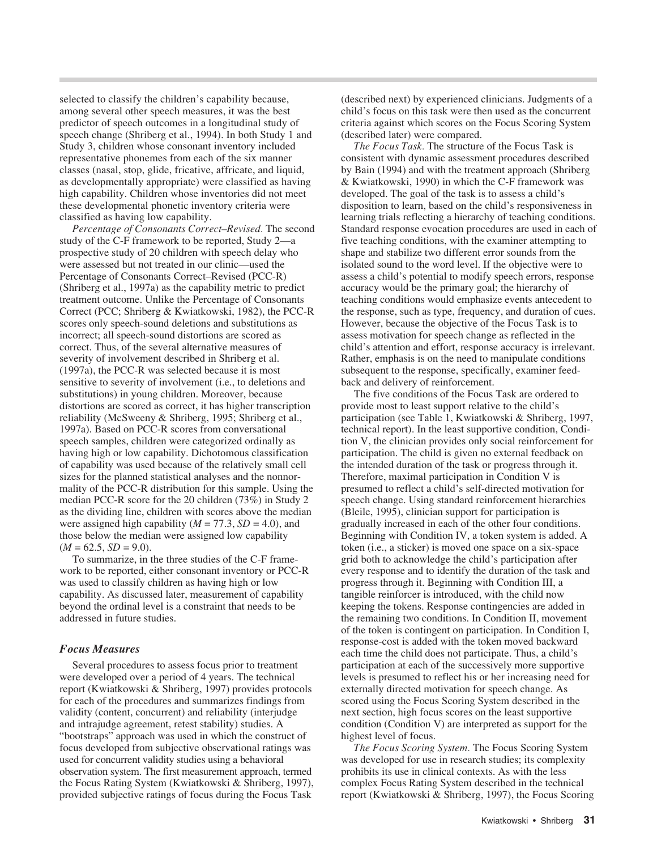selected to classify the children's capability because, among several other speech measures, it was the best predictor of speech outcomes in a longitudinal study of speech change (Shriberg et al., 1994). In both Study 1 and Study 3, children whose consonant inventory included representative phonemes from each of the six manner classes (nasal, stop, glide, fricative, affricate, and liquid, as developmentally appropriate) were classified as having high capability. Children whose inventories did not meet these developmental phonetic inventory criteria were classified as having low capability.

*Percentage of Consonants Correct–Revised.* The second study of the C-F framework to be reported, Study 2—a prospective study of 20 children with speech delay who were assessed but not treated in our clinic—used the Percentage of Consonants Correct–Revised (PCC-R) (Shriberg et al., 1997a) as the capability metric to predict treatment outcome. Unlike the Percentage of Consonants Correct (PCC; Shriberg & Kwiatkowski, 1982), the PCC-R scores only speech-sound deletions and substitutions as incorrect; all speech-sound distortions are scored as correct. Thus, of the several alternative measures of severity of involvement described in Shriberg et al. (1997a), the PCC-R was selected because it is most sensitive to severity of involvement (i.e., to deletions and substitutions) in young children. Moreover, because distortions are scored as correct, it has higher transcription reliability (McSweeny & Shriberg, 1995; Shriberg et al., 1997a). Based on PCC-R scores from conversational speech samples, children were categorized ordinally as having high or low capability. Dichotomous classification of capability was used because of the relatively small cell sizes for the planned statistical analyses and the nonnormality of the PCC-R distribution for this sample. Using the median PCC-R score for the 20 children (73%) in Study 2 as the dividing line, children with scores above the median were assigned high capability ( $M = 77.3$ ,  $SD = 4.0$ ), and those below the median were assigned low capability  $(M = 62.5, SD = 9.0).$ 

To summarize, in the three studies of the C-F framework to be reported, either consonant inventory or PCC-R was used to classify children as having high or low capability. As discussed later, measurement of capability beyond the ordinal level is a constraint that needs to be addressed in future studies.

#### *Focus Measures*

Several procedures to assess focus prior to treatment were developed over a period of 4 years. The technical report (Kwiatkowski & Shriberg, 1997) provides protocols for each of the procedures and summarizes findings from validity (content, concurrent) and reliability (interjudge and intrajudge agreement, retest stability) studies. A "bootstraps" approach was used in which the construct of focus developed from subjective observational ratings was used for concurrent validity studies using a behavioral observation system. The first measurement approach, termed the Focus Rating System (Kwiatkowski & Shriberg, 1997), provided subjective ratings of focus during the Focus Task

(described next) by experienced clinicians. Judgments of a child's focus on this task were then used as the concurrent criteria against which scores on the Focus Scoring System (described later) were compared.

*The Focus Task.* The structure of the Focus Task is consistent with dynamic assessment procedures described by Bain (1994) and with the treatment approach (Shriberg & Kwiatkowski, 1990) in which the C-F framework was developed. The goal of the task is to assess a child's disposition to learn, based on the child's responsiveness in learning trials reflecting a hierarchy of teaching conditions. Standard response evocation procedures are used in each of five teaching conditions, with the examiner attempting to shape and stabilize two different error sounds from the isolated sound to the word level. If the objective were to assess a child's potential to modify speech errors, response accuracy would be the primary goal; the hierarchy of teaching conditions would emphasize events antecedent to the response, such as type, frequency, and duration of cues. However, because the objective of the Focus Task is to assess motivation for speech change as reflected in the child's attention and effort, response accuracy is irrelevant. Rather, emphasis is on the need to manipulate conditions subsequent to the response, specifically, examiner feedback and delivery of reinforcement.

The five conditions of the Focus Task are ordered to provide most to least support relative to the child's participation (see Table 1, Kwiatkowski & Shriberg, 1997, technical report). In the least supportive condition, Condition V, the clinician provides only social reinforcement for participation. The child is given no external feedback on the intended duration of the task or progress through it. Therefore, maximal participation in Condition V is presumed to reflect a child's self-directed motivation for speech change. Using standard reinforcement hierarchies (Bleile, 1995), clinician support for participation is gradually increased in each of the other four conditions. Beginning with Condition IV, a token system is added. A token (i.e., a sticker) is moved one space on a six-space grid both to acknowledge the child's participation after every response and to identify the duration of the task and progress through it. Beginning with Condition III, a tangible reinforcer is introduced, with the child now keeping the tokens. Response contingencies are added in the remaining two conditions. In Condition II, movement of the token is contingent on participation. In Condition I, response-cost is added with the token moved backward each time the child does not participate. Thus, a child's participation at each of the successively more supportive levels is presumed to reflect his or her increasing need for externally directed motivation for speech change. As scored using the Focus Scoring System described in the next section, high focus scores on the least supportive condition (Condition V) are interpreted as support for the highest level of focus.

*The Focus Scoring System.* The Focus Scoring System was developed for use in research studies; its complexity prohibits its use in clinical contexts. As with the less complex Focus Rating System described in the technical report (Kwiatkowski & Shriberg, 1997), the Focus Scoring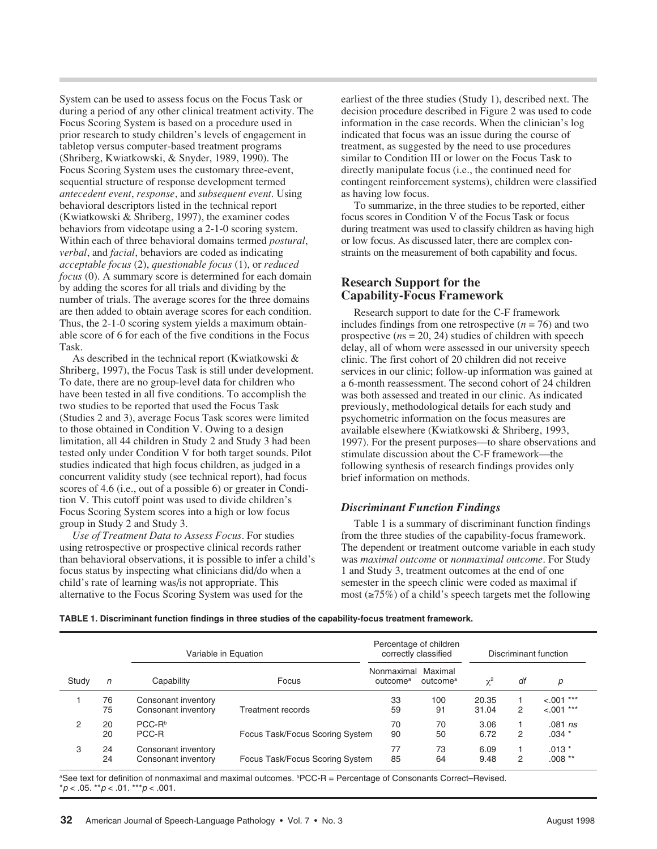System can be used to assess focus on the Focus Task or during a period of any other clinical treatment activity. The Focus Scoring System is based on a procedure used in prior research to study children's levels of engagement in tabletop versus computer-based treatment programs (Shriberg, Kwiatkowski, & Snyder, 1989, 1990). The Focus Scoring System uses the customary three-event, sequential structure of response development termed *antecedent event*, *response*, and *subsequent event*. Using behavioral descriptors listed in the technical report (Kwiatkowski & Shriberg, 1997), the examiner codes behaviors from videotape using a 2-1-0 scoring system. Within each of three behavioral domains termed *postural*, *verbal*, and *facial*, behaviors are coded as indicating *acceptable focus* (2), *questionable focus* (1), or *reduced focus* (0). A summary score is determined for each domain by adding the scores for all trials and dividing by the number of trials. The average scores for the three domains are then added to obtain average scores for each condition. Thus, the 2-1-0 scoring system yields a maximum obtainable score of 6 for each of the five conditions in the Focus Task.

As described in the technical report (Kwiatkowski & Shriberg, 1997), the Focus Task is still under development. To date, there are no group-level data for children who have been tested in all five conditions. To accomplish the two studies to be reported that used the Focus Task (Studies 2 and 3), average Focus Task scores were limited to those obtained in Condition V. Owing to a design limitation, all 44 children in Study 2 and Study 3 had been tested only under Condition V for both target sounds. Pilot studies indicated that high focus children, as judged in a concurrent validity study (see technical report), had focus scores of 4.6 (i.e., out of a possible 6) or greater in Condition V. This cutoff point was used to divide children's Focus Scoring System scores into a high or low focus group in Study 2 and Study 3.

*Use of Treatment Data to Assess Focus.* For studies using retrospective or prospective clinical records rather than behavioral observations, it is possible to infer a child's focus status by inspecting what clinicians did/do when a child's rate of learning was/is not appropriate. This alternative to the Focus Scoring System was used for the

earliest of the three studies (Study 1), described next. The decision procedure described in Figure 2 was used to code information in the case records. When the clinician's log indicated that focus was an issue during the course of treatment, as suggested by the need to use procedures similar to Condition III or lower on the Focus Task to directly manipulate focus (i.e., the continued need for contingent reinforcement systems), children were classified as having low focus.

To summarize, in the three studies to be reported, either focus scores in Condition V of the Focus Task or focus during treatment was used to classify children as having high or low focus. As discussed later, there are complex constraints on the measurement of both capability and focus.

# **Research Support for the Capability-Focus Framework**

Research support to date for the C-F framework includes findings from one retrospective  $(n = 76)$  and two prospective (*n*s = 20, 24) studies of children with speech delay, all of whom were assessed in our university speech clinic. The first cohort of 20 children did not receive services in our clinic; follow-up information was gained at a 6-month reassessment. The second cohort of 24 children was both assessed and treated in our clinic. As indicated previously, methodological details for each study and psychometric information on the focus measures are available elsewhere (Kwiatkowski & Shriberg, 1993, 1997). For the present purposes—to share observations and stimulate discussion about the C-F framework—the following synthesis of research findings provides only brief information on methods.

# *Discriminant Function Findings*

Table 1 is a summary of discriminant function findings from the three studies of the capability-focus framework. The dependent or treatment outcome variable in each study was *maximal outcome* or *nonmaximal outcome*. For Study 1 and Study 3, treatment outcomes at the end of one semester in the speech clinic were coded as maximal if most (≥75%) of a child's speech targets met the following

**TABLE 1. Discriminant function findings in three studies of the capability-focus treatment framework.**

|       |            | Variable in Equation                       |                                 | Percentage of children<br>correctly classified |                                 | Discriminant function |    |                              |
|-------|------------|--------------------------------------------|---------------------------------|------------------------------------------------|---------------------------------|-----------------------|----|------------------------------|
| Study | $\sqrt{n}$ | Capability                                 | Focus                           | Nonmaximal<br>outcome <sup>a</sup>             | Maximal<br>outcome <sup>a</sup> | $\chi^2$              | df | р                            |
|       | 76<br>75   | Consonant inventory<br>Consonant inventory | Treatment records               | 33<br>59                                       | 100<br>91                       | 20.35<br>31.04        | 2  | $< .001$ ***<br>$< .001$ *** |
| 2     | 20<br>20   | $PCC-Rb$<br>PCC-R                          | Focus Task/Focus Scoring System | 70<br>90                                       | 70<br>50                        | 3.06<br>6.72          | 2  | $.081$ ns<br>$.034*$         |
| 3     | 24<br>24   | Consonant inventory<br>Consonant inventory | Focus Task/Focus Scoring System | 77<br>85                                       | 73<br>64                        | 6.09<br>9.48          | 2  | $.013*$<br>$.008**$          |

a See text for definition of nonmaximal and maximal outcomes. bPCC-R = Percentage of Consonants Correct–Revised.  $*p < .05.$   $*p < .01.$   $**p < .001.$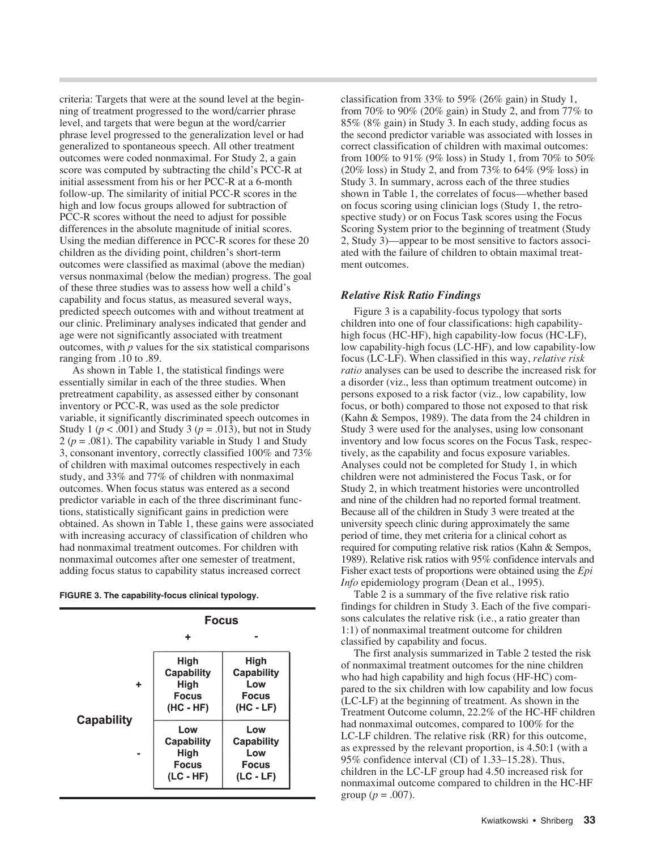criteria: Targets that were at the sound level at the beginning of treatment progressed to the word/carrier phrase level, and targets that were begun at the word/carrier phrase level progressed to the generalization level or had generalized to spontaneous speech. All other treatment outcomes were coded nonmaximal. For Study 2, a gain score was computed by subtracting the child's PCC-R at initial assessment from his or her PCC-R at a 6-month follow-up. The similarity of initial PCC-R scores in the high and low focus groups allowed for subtraction of PCC-R scores without the need to adjust for possible differences in the absolute magnitude of initial scores. Using the median difference in PCC-R scores for these 20 children as the dividing point, children's short-term outcomes were classified as maximal (above the median) versus nonmaximal (below the median) progress. The goal of these three studies was to assess how well a child's capability and focus status, as measured several ways, predicted speech outcomes with and without treatment at our clinic. Preliminary analyses indicated that gender and age were not significantly associated with treatment outcomes, with *p* values for the six statistical comparisons ranging from .10 to .89.

As shown in Table 1, the statistical findings were essentially similar in each of the three studies. When pretreatment capability, as assessed either by consonant inventory or PCC-R, was used as the sole predictor variable, it significantly discriminated speech outcomes in Study 1 ( $p < .001$ ) and Study 3 ( $p = .013$ ), but not in Study 2 (*p* = .081). The capability variable in Study 1 and Study 3, consonant inventory, correctly classified 100% and 73% of children with maximal outcomes respectively in each study, and 33% and 77% of children with nonmaximal outcomes. When focus status was entered as a second predictor variable in each of the three discriminant functions, statistically significant gains in prediction were obtained. As shown in Table 1, these gains were associated with increasing accuracy of classification of children who had nonmaximal treatment outcomes. For children with nonmaximal outcomes after one semester of treatment, adding focus status to capability status increased correct

|  | FIGURE 3. The capability-focus clinical typology. |  |  |  |
|--|---------------------------------------------------|--|--|--|
|--|---------------------------------------------------|--|--|--|

|                        | <b>FOCUS</b>                                                                                 |                                                                               |  |  |
|------------------------|----------------------------------------------------------------------------------------------|-------------------------------------------------------------------------------|--|--|
|                        | ٠                                                                                            |                                                                               |  |  |
| ٠<br><b>Capability</b> | High<br><b>Capability</b><br>High<br><b>Focus</b><br>$(HC - HF)$<br>Low<br><b>Capability</b> | High<br>Capability<br>Low<br><b>Focus</b><br>$(HC - LF)$<br>Low<br>Capability |  |  |
|                        | High<br><b>Focus</b><br>$(LC - HF)$                                                          | Low<br><b>Focus</b><br>(LC - LF)                                              |  |  |

L

classification from 33% to 59% (26% gain) in Study 1, from 70% to 90% (20% gain) in Study 2, and from 77% to 85% (8% gain) in Study 3. In each study, adding focus as the second predictor variable was associated with losses in correct classification of children with maximal outcomes: from 100% to 91% (9% loss) in Study 1, from 70% to 50% (20% loss) in Study 2, and from 73% to 64% (9% loss) in Study 3. In summary, across each of the three studies shown in Table 1, the correlates of focus—whether based on focus scoring using clinician logs (Study 1, the retrospective study) or on Focus Task scores using the Focus Scoring System prior to the beginning of treatment (Study 2, Study 3)—appear to be most sensitive to factors associated with the failure of children to obtain maximal treatment outcomes.

# *Relative Risk Ratio Findings*

Figure 3 is a capability-focus typology that sorts children into one of four classifications: high capabilityhigh focus (HC-HF), high capability-low focus (HC-LF), low capability-high focus (LC-HF), and low capability-low focus (LC-LF). When classified in this way, *relative risk ratio* analyses can be used to describe the increased risk for a disorder (viz., less than optimum treatment outcome) in persons exposed to a risk factor (viz., low capability, low focus, or both) compared to those not exposed to that risk (Kahn & Sempos, 1989). The data from the 24 children in Study 3 were used for the analyses, using low consonant inventory and low focus scores on the Focus Task, respectively, as the capability and focus exposure variables. Analyses could not be completed for Study 1, in which children were not administered the Focus Task, or for Study 2, in which treatment histories were uncontrolled and nine of the children had no reported formal treatment. Because all of the children in Study 3 were treated at the university speech clinic during approximately the same period of time, they met criteria for a clinical cohort as required for computing relative risk ratios (Kahn & Sempos, 1989). Relative risk ratios with 95% confidence intervals and Fisher exact tests of proportions were obtained using the *Epi Info* epidemiology program (Dean et al., 1995).

Table 2 is a summary of the five relative risk ratio findings for children in Study 3. Each of the five comparisons calculates the relative risk (i.e., a ratio greater than 1:1) of nonmaximal treatment outcome for children classified by capability and focus.

The first analysis summarized in Table 2 tested the risk of nonmaximal treatment outcomes for the nine children who had high capability and high focus (HF-HC) compared to the six children with low capability and low focus (LC-LF) at the beginning of treatment. As shown in the Treatment Outcome column, 22.2% of the HC-HF children had nonmaximal outcomes, compared to 100% for the LC-LF children. The relative risk (RR) for this outcome, as expressed by the relevant proportion, is 4.50:1 (with a 95% confidence interval (CI) of 1.33–15.28). Thus, children in the LC-LF group had 4.50 increased risk for nonmaximal outcome compared to children in the HC-HF group ( $p = .007$ ).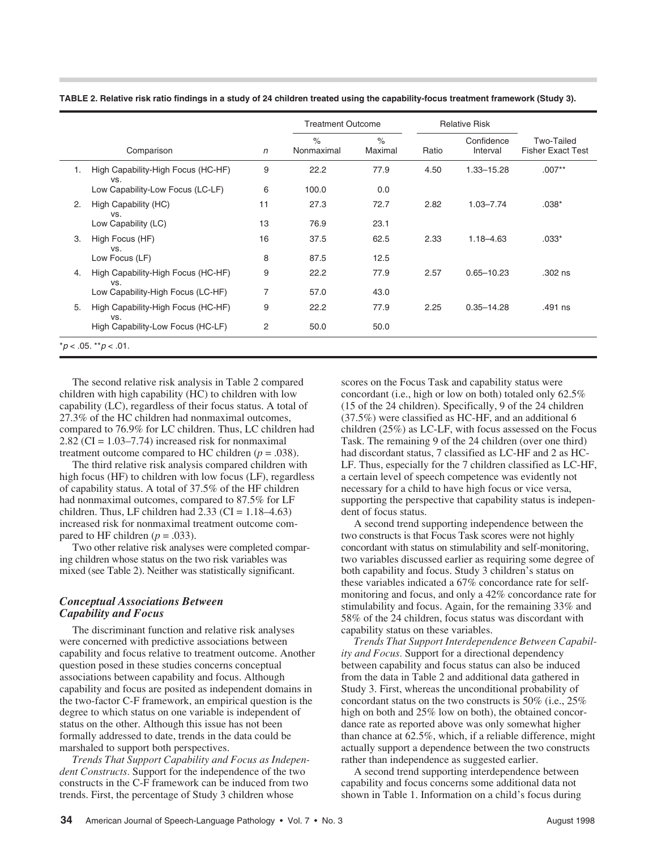|                         |                                           |                | <b>Treatment Outcome</b>    |                 | <b>Relative Risk</b> |                        |                                               |
|-------------------------|-------------------------------------------|----------------|-----------------------------|-----------------|----------------------|------------------------|-----------------------------------------------|
|                         | Comparison                                | $\sqrt{n}$     | $\frac{1}{2}$<br>Nonmaximal | $\%$<br>Maximal | Ratio                | Confidence<br>Interval | <b>Two-Tailed</b><br><b>Fisher Exact Test</b> |
| 1.                      | High Capability-High Focus (HC-HF)<br>VS. | 9              | 22.2                        | 77.9            | 4.50                 | 1.33-15.28             | $.007**$                                      |
|                         | Low Capability-Low Focus (LC-LF)          | 6              | 100.0                       | 0.0             |                      |                        |                                               |
| 2.                      | High Capability (HC)<br>VS.               | 11             | 27.3                        | 72.7            | 2.82                 | $1.03 - 7.74$          | $.038*$                                       |
|                         | Low Capability (LC)                       | 13             | 76.9                        | 23.1            |                      |                        |                                               |
| 3.                      | High Focus (HF)<br>VS.                    | 16             | 37.5                        | 62.5            | 2.33                 | $1.18 - 4.63$          | $.033*$                                       |
|                         | Low Focus (LF)                            | 8              | 87.5                        | 12.5            |                      |                        |                                               |
| 4.                      | High Capability-High Focus (HC-HF)<br>VS. | 9              | 22.2                        | 77.9            | 2.57                 | $0.65 - 10.23$         | .302 ns                                       |
|                         | Low Capability-High Focus (LC-HF)         | $\overline{7}$ | 57.0                        | 43.0            |                      |                        |                                               |
| 5.                      | High Capability-High Focus (HC-HF)<br>VS. | 9              | 22.2                        | 77.9            | 2.25                 | $0.35 - 14.28$         | .491 ns                                       |
|                         | High Capability-Low Focus (HC-LF)         | $\overline{c}$ | 50.0                        | 50.0            |                      |                        |                                               |
| $*p < .05.$ $*p < .01.$ |                                           |                |                             |                 |                      |                        |                                               |

**TABLE 2. Relative risk ratio findings in a study of 24 children treated using the capability-focus treatment framework (Study 3).**

The second relative risk analysis in Table 2 compared children with high capability (HC) to children with low capability (LC), regardless of their focus status. A total of 27.3% of the HC children had nonmaximal outcomes, compared to 76.9% for LC children. Thus, LC children had 2.82 (CI =  $1.03-7.74$ ) increased risk for nonmaximal treatment outcome compared to HC children  $(p = .038)$ .

The third relative risk analysis compared children with high focus (HF) to children with low focus (LF), regardless of capability status. A total of 37.5% of the HF children had nonmaximal outcomes, compared to 87.5% for LF children. Thus, LF children had  $2.33$  (CI =  $1.18-4.63$ ) increased risk for nonmaximal treatment outcome compared to HF children  $(p = .033)$ .

Two other relative risk analyses were completed comparing children whose status on the two risk variables was mixed (see Table 2). Neither was statistically significant.

#### *Conceptual Associations Between Capability and Focus*

The discriminant function and relative risk analyses were concerned with predictive associations between capability and focus relative to treatment outcome. Another question posed in these studies concerns conceptual associations between capability and focus. Although capability and focus are posited as independent domains in the two-factor C-F framework, an empirical question is the degree to which status on one variable is independent of status on the other. Although this issue has not been formally addressed to date, trends in the data could be marshaled to support both perspectives.

*Trends That Support Capability and Focus as Independent Constructs.* Support for the independence of the two constructs in the C-F framework can be induced from two trends. First, the percentage of Study 3 children whose

scores on the Focus Task and capability status were concordant (i.e., high or low on both) totaled only 62.5% (15 of the 24 children). Specifically, 9 of the 24 children (37.5%) were classified as HC-HF, and an additional 6 children (25%) as LC-LF, with focus assessed on the Focus Task. The remaining 9 of the 24 children (over one third) had discordant status, 7 classified as LC-HF and 2 as HC-LF. Thus, especially for the 7 children classified as LC-HF, a certain level of speech competence was evidently not necessary for a child to have high focus or vice versa, supporting the perspective that capability status is independent of focus status.

A second trend supporting independence between the two constructs is that Focus Task scores were not highly concordant with status on stimulability and self-monitoring, two variables discussed earlier as requiring some degree of both capability and focus. Study 3 children's status on these variables indicated a 67% concordance rate for selfmonitoring and focus, and only a 42% concordance rate for stimulability and focus. Again, for the remaining 33% and 58% of the 24 children, focus status was discordant with capability status on these variables.

*Trends That Support Interdependence Between Capability and Focus.* Support for a directional dependency between capability and focus status can also be induced from the data in Table 2 and additional data gathered in Study 3. First, whereas the unconditional probability of concordant status on the two constructs is 50% (i.e., 25% high on both and 25% low on both), the obtained concordance rate as reported above was only somewhat higher than chance at 62.5%, which, if a reliable difference, might actually support a dependence between the two constructs rather than independence as suggested earlier.

A second trend supporting interdependence between capability and focus concerns some additional data not shown in Table 1. Information on a child's focus during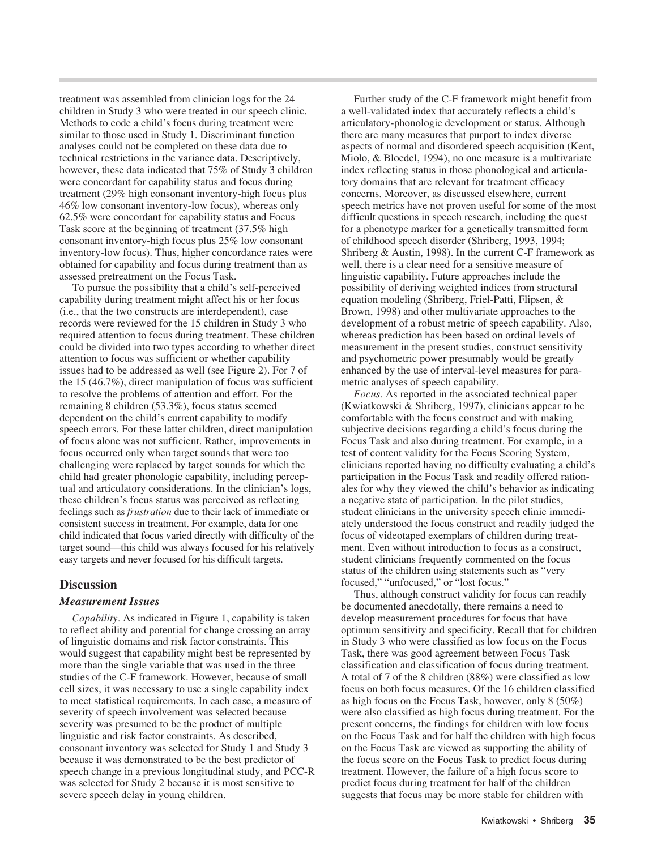treatment was assembled from clinician logs for the 24 children in Study 3 who were treated in our speech clinic. Methods to code a child's focus during treatment were similar to those used in Study 1. Discriminant function analyses could not be completed on these data due to technical restrictions in the variance data. Descriptively, however, these data indicated that 75% of Study 3 children were concordant for capability status and focus during treatment (29% high consonant inventory-high focus plus 46% low consonant inventory-low focus), whereas only 62.5% were concordant for capability status and Focus Task score at the beginning of treatment (37.5% high consonant inventory-high focus plus 25% low consonant inventory-low focus). Thus, higher concordance rates were obtained for capability and focus during treatment than as assessed pretreatment on the Focus Task.

To pursue the possibility that a child's self-perceived capability during treatment might affect his or her focus (i.e., that the two constructs are interdependent), case records were reviewed for the 15 children in Study 3 who required attention to focus during treatment. These children could be divided into two types according to whether direct attention to focus was sufficient or whether capability issues had to be addressed as well (see Figure 2). For 7 of the 15 (46.7%), direct manipulation of focus was sufficient to resolve the problems of attention and effort. For the remaining 8 children (53.3%), focus status seemed dependent on the child's current capability to modify speech errors. For these latter children, direct manipulation of focus alone was not sufficient. Rather, improvements in focus occurred only when target sounds that were too challenging were replaced by target sounds for which the child had greater phonologic capability, including perceptual and articulatory considerations. In the clinician's logs, these children's focus status was perceived as reflecting feelings such as *frustration* due to their lack of immediate or consistent success in treatment. For example, data for one child indicated that focus varied directly with difficulty of the target sound—this child was always focused for his relatively easy targets and never focused for his difficult targets.

# **Discussion**

#### *Measurement Issues*

*Capability.* As indicated in Figure 1, capability is taken to reflect ability and potential for change crossing an array of linguistic domains and risk factor constraints. This would suggest that capability might best be represented by more than the single variable that was used in the three studies of the C-F framework. However, because of small cell sizes, it was necessary to use a single capability index to meet statistical requirements. In each case, a measure of severity of speech involvement was selected because severity was presumed to be the product of multiple linguistic and risk factor constraints. As described, consonant inventory was selected for Study 1 and Study 3 because it was demonstrated to be the best predictor of speech change in a previous longitudinal study, and PCC-R was selected for Study 2 because it is most sensitive to severe speech delay in young children.

Further study of the C-F framework might benefit from a well-validated index that accurately reflects a child's articulatory-phonologic development or status. Although there are many measures that purport to index diverse aspects of normal and disordered speech acquisition (Kent, Miolo, & Bloedel, 1994), no one measure is a multivariate index reflecting status in those phonological and articulatory domains that are relevant for treatment efficacy concerns. Moreover, as discussed elsewhere, current speech metrics have not proven useful for some of the most difficult questions in speech research, including the quest for a phenotype marker for a genetically transmitted form of childhood speech disorder (Shriberg, 1993, 1994; Shriberg & Austin, 1998). In the current C-F framework as well, there is a clear need for a sensitive measure of linguistic capability. Future approaches include the possibility of deriving weighted indices from structural equation modeling (Shriberg, Friel-Patti, Flipsen, & Brown, 1998) and other multivariate approaches to the development of a robust metric of speech capability. Also, whereas prediction has been based on ordinal levels of measurement in the present studies, construct sensitivity and psychometric power presumably would be greatly enhanced by the use of interval-level measures for parametric analyses of speech capability.

*Focus.* As reported in the associated technical paper (Kwiatkowski & Shriberg, 1997), clinicians appear to be comfortable with the focus construct and with making subjective decisions regarding a child's focus during the Focus Task and also during treatment. For example, in a test of content validity for the Focus Scoring System, clinicians reported having no difficulty evaluating a child's participation in the Focus Task and readily offered rationales for why they viewed the child's behavior as indicating a negative state of participation. In the pilot studies, student clinicians in the university speech clinic immediately understood the focus construct and readily judged the focus of videotaped exemplars of children during treatment. Even without introduction to focus as a construct, student clinicians frequently commented on the focus status of the children using statements such as "very focused," "unfocused," or "lost focus."

Thus, although construct validity for focus can readily be documented anecdotally, there remains a need to develop measurement procedures for focus that have optimum sensitivity and specificity. Recall that for children in Study 3 who were classified as low focus on the Focus Task, there was good agreement between Focus Task classification and classification of focus during treatment. A total of 7 of the 8 children (88%) were classified as low focus on both focus measures. Of the 16 children classified as high focus on the Focus Task, however, only 8 (50%) were also classified as high focus during treatment. For the present concerns, the findings for children with low focus on the Focus Task and for half the children with high focus on the Focus Task are viewed as supporting the ability of the focus score on the Focus Task to predict focus during treatment. However, the failure of a high focus score to predict focus during treatment for half of the children suggests that focus may be more stable for children with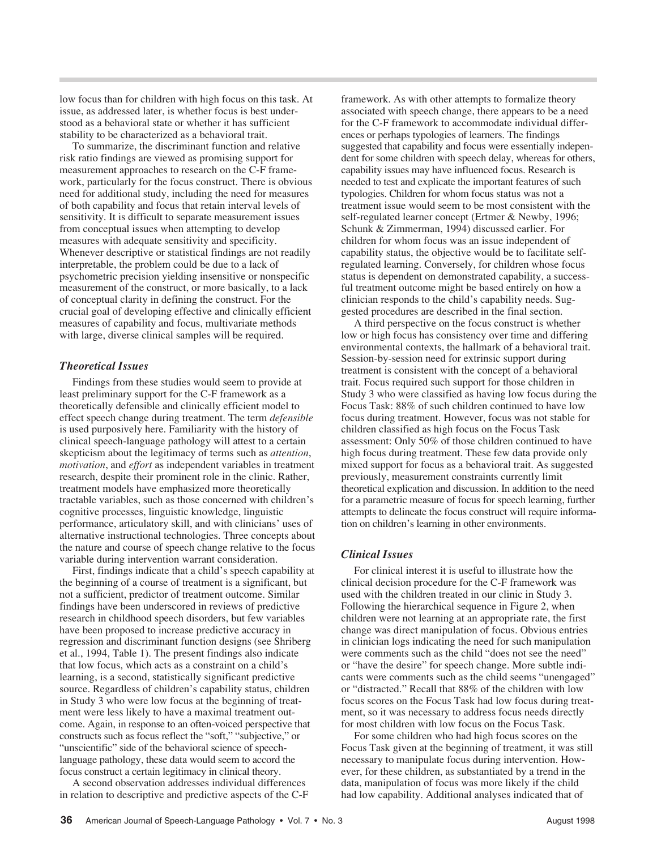low focus than for children with high focus on this task. At issue, as addressed later, is whether focus is best understood as a behavioral state or whether it has sufficient stability to be characterized as a behavioral trait.

To summarize, the discriminant function and relative risk ratio findings are viewed as promising support for measurement approaches to research on the C-F framework, particularly for the focus construct. There is obvious need for additional study, including the need for measures of both capability and focus that retain interval levels of sensitivity. It is difficult to separate measurement issues from conceptual issues when attempting to develop measures with adequate sensitivity and specificity. Whenever descriptive or statistical findings are not readily interpretable, the problem could be due to a lack of psychometric precision yielding insensitive or nonspecific measurement of the construct, or more basically, to a lack of conceptual clarity in defining the construct. For the crucial goal of developing effective and clinically efficient measures of capability and focus, multivariate methods with large, diverse clinical samples will be required.

#### *Theoretical Issues*

Findings from these studies would seem to provide at least preliminary support for the C-F framework as a theoretically defensible and clinically efficient model to effect speech change during treatment. The term *defensible* is used purposively here. Familiarity with the history of clinical speech-language pathology will attest to a certain skepticism about the legitimacy of terms such as *attention*, *motivation*, and *effort* as independent variables in treatment research, despite their prominent role in the clinic. Rather, treatment models have emphasized more theoretically tractable variables, such as those concerned with children's cognitive processes, linguistic knowledge, linguistic performance, articulatory skill, and with clinicians' uses of alternative instructional technologies. Three concepts about the nature and course of speech change relative to the focus variable during intervention warrant consideration.

First, findings indicate that a child's speech capability at the beginning of a course of treatment is a significant, but not a sufficient, predictor of treatment outcome. Similar findings have been underscored in reviews of predictive research in childhood speech disorders, but few variables have been proposed to increase predictive accuracy in regression and discriminant function designs (see Shriberg et al., 1994, Table 1). The present findings also indicate that low focus, which acts as a constraint on a child's learning, is a second, statistically significant predictive source. Regardless of children's capability status, children in Study 3 who were low focus at the beginning of treatment were less likely to have a maximal treatment outcome. Again, in response to an often-voiced perspective that constructs such as focus reflect the "soft," "subjective," or "unscientific" side of the behavioral science of speechlanguage pathology, these data would seem to accord the focus construct a certain legitimacy in clinical theory.

A second observation addresses individual differences in relation to descriptive and predictive aspects of the C-F framework. As with other attempts to formalize theory associated with speech change, there appears to be a need for the C-F framework to accommodate individual differences or perhaps typologies of learners. The findings suggested that capability and focus were essentially independent for some children with speech delay, whereas for others, capability issues may have influenced focus. Research is needed to test and explicate the important features of such typologies. Children for whom focus status was not a treatment issue would seem to be most consistent with the self-regulated learner concept (Ertmer & Newby, 1996; Schunk & Zimmerman, 1994) discussed earlier. For children for whom focus was an issue independent of capability status, the objective would be to facilitate selfregulated learning. Conversely, for children whose focus status is dependent on demonstrated capability, a successful treatment outcome might be based entirely on how a clinician responds to the child's capability needs. Suggested procedures are described in the final section.

A third perspective on the focus construct is whether low or high focus has consistency over time and differing environmental contexts, the hallmark of a behavioral trait. Session-by-session need for extrinsic support during treatment is consistent with the concept of a behavioral trait. Focus required such support for those children in Study 3 who were classified as having low focus during the Focus Task: 88% of such children continued to have low focus during treatment. However, focus was not stable for children classified as high focus on the Focus Task assessment: Only 50% of those children continued to have high focus during treatment. These few data provide only mixed support for focus as a behavioral trait. As suggested previously, measurement constraints currently limit theoretical explication and discussion. In addition to the need for a parametric measure of focus for speech learning, further attempts to delineate the focus construct will require information on children's learning in other environments.

# *Clinical Issues*

For clinical interest it is useful to illustrate how the clinical decision procedure for the C-F framework was used with the children treated in our clinic in Study 3. Following the hierarchical sequence in Figure 2, when children were not learning at an appropriate rate, the first change was direct manipulation of focus. Obvious entries in clinician logs indicating the need for such manipulation were comments such as the child "does not see the need" or "have the desire" for speech change. More subtle indicants were comments such as the child seems "unengaged" or "distracted." Recall that 88% of the children with low focus scores on the Focus Task had low focus during treatment, so it was necessary to address focus needs directly for most children with low focus on the Focus Task.

For some children who had high focus scores on the Focus Task given at the beginning of treatment, it was still necessary to manipulate focus during intervention. However, for these children, as substantiated by a trend in the data, manipulation of focus was more likely if the child had low capability. Additional analyses indicated that of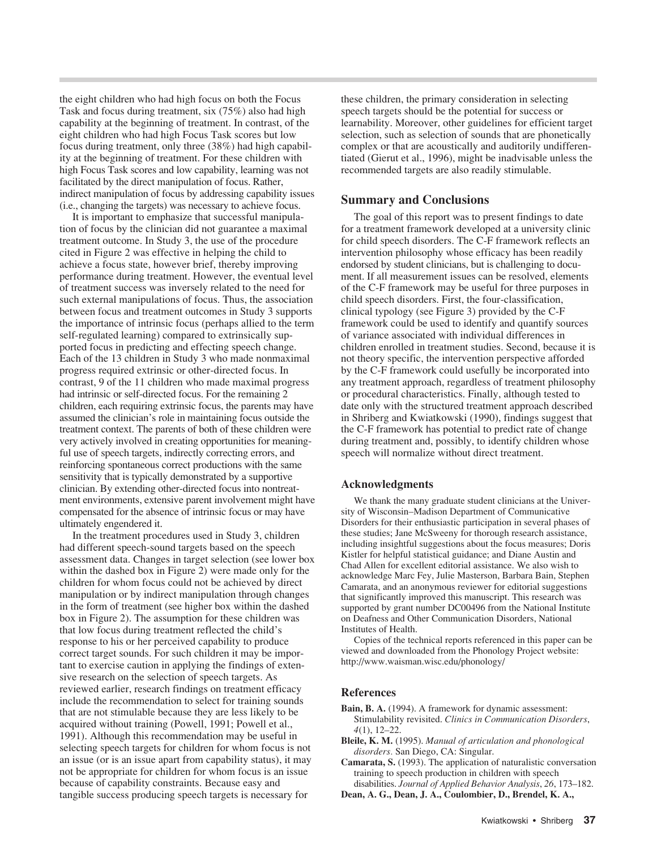the eight children who had high focus on both the Focus Task and focus during treatment, six (75%) also had high capability at the beginning of treatment. In contrast, of the eight children who had high Focus Task scores but low focus during treatment, only three (38%) had high capability at the beginning of treatment. For these children with high Focus Task scores and low capability, learning was not facilitated by the direct manipulation of focus. Rather, indirect manipulation of focus by addressing capability issues (i.e., changing the targets) was necessary to achieve focus.

It is important to emphasize that successful manipulation of focus by the clinician did not guarantee a maximal treatment outcome. In Study 3, the use of the procedure cited in Figure 2 was effective in helping the child to achieve a focus state, however brief, thereby improving performance during treatment. However, the eventual level of treatment success was inversely related to the need for such external manipulations of focus. Thus, the association between focus and treatment outcomes in Study 3 supports the importance of intrinsic focus (perhaps allied to the term self-regulated learning) compared to extrinsically supported focus in predicting and effecting speech change. Each of the 13 children in Study 3 who made nonmaximal progress required extrinsic or other-directed focus. In contrast, 9 of the 11 children who made maximal progress had intrinsic or self-directed focus. For the remaining 2 children, each requiring extrinsic focus, the parents may have assumed the clinician's role in maintaining focus outside the treatment context. The parents of both of these children were very actively involved in creating opportunities for meaningful use of speech targets, indirectly correcting errors, and reinforcing spontaneous correct productions with the same sensitivity that is typically demonstrated by a supportive clinician. By extending other-directed focus into nontreatment environments, extensive parent involvement might have compensated for the absence of intrinsic focus or may have ultimately engendered it.

In the treatment procedures used in Study 3, children had different speech-sound targets based on the speech assessment data. Changes in target selection (see lower box within the dashed box in Figure 2) were made only for the children for whom focus could not be achieved by direct manipulation or by indirect manipulation through changes in the form of treatment (see higher box within the dashed box in Figure 2). The assumption for these children was that low focus during treatment reflected the child's response to his or her perceived capability to produce correct target sounds. For such children it may be important to exercise caution in applying the findings of extensive research on the selection of speech targets. As reviewed earlier, research findings on treatment efficacy include the recommendation to select for training sounds that are not stimulable because they are less likely to be acquired without training (Powell, 1991; Powell et al., 1991). Although this recommendation may be useful in selecting speech targets for children for whom focus is not an issue (or is an issue apart from capability status), it may not be appropriate for children for whom focus is an issue because of capability constraints. Because easy and tangible success producing speech targets is necessary for

these children, the primary consideration in selecting speech targets should be the potential for success or learnability. Moreover, other guidelines for efficient target selection, such as selection of sounds that are phonetically complex or that are acoustically and auditorily undifferentiated (Gierut et al., 1996), might be inadvisable unless the recommended targets are also readily stimulable.

#### **Summary and Conclusions**

The goal of this report was to present findings to date for a treatment framework developed at a university clinic for child speech disorders. The C-F framework reflects an intervention philosophy whose efficacy has been readily endorsed by student clinicians, but is challenging to document. If all measurement issues can be resolved, elements of the C-F framework may be useful for three purposes in child speech disorders. First, the four-classification, clinical typology (see Figure 3) provided by the C-F framework could be used to identify and quantify sources of variance associated with individual differences in children enrolled in treatment studies. Second, because it is not theory specific, the intervention perspective afforded by the C-F framework could usefully be incorporated into any treatment approach, regardless of treatment philosophy or procedural characteristics. Finally, although tested to date only with the structured treatment approach described in Shriberg and Kwiatkowski (1990), findings suggest that the C-F framework has potential to predict rate of change during treatment and, possibly, to identify children whose speech will normalize without direct treatment.

#### **Acknowledgments**

We thank the many graduate student clinicians at the University of Wisconsin–Madison Department of Communicative Disorders for their enthusiastic participation in several phases of these studies; Jane McSweeny for thorough research assistance, including insightful suggestions about the focus measures; Doris Kistler for helpful statistical guidance; and Diane Austin and Chad Allen for excellent editorial assistance. We also wish to acknowledge Marc Fey, Julie Masterson, Barbara Bain, Stephen Camarata, and an anonymous reviewer for editorial suggestions that significantly improved this manuscript. This research was supported by grant number DC00496 from the National Institute on Deafness and Other Communication Disorders, National Institutes of Health.

Copies of the technical reports referenced in this paper can be viewed and downloaded from the Phonology Project website: http://www.waisman.wisc.edu/phonology/

#### **References**

- **Bain, B. A.** (1994). A framework for dynamic assessment: Stimulability revisited. *Clinics in Communication Disorders*, *4*(1), 12–22.
- **Bleile, K. M.** (1995). *Manual of articulation and phonological disorders.* San Diego, CA: Singular.
- **Camarata, S.** (1993). The application of naturalistic conversation training to speech production in children with speech disabilities. *Journal of Applied Behavior Analysis*, *26*, 173–182.
- **Dean, A. G., Dean, J. A., Coulombier, D., Brendel, K. A.,**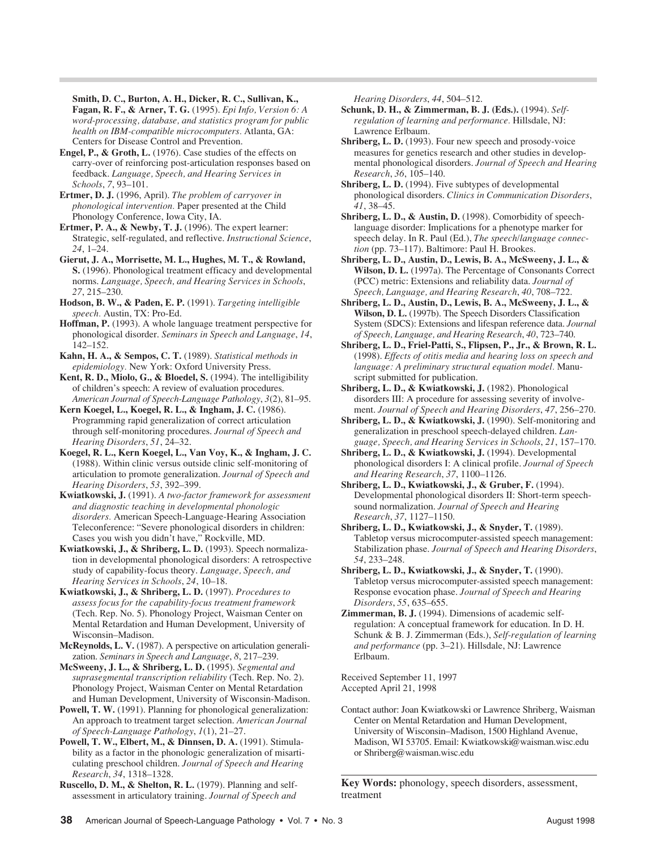**Smith, D. C., Burton, A. H., Dicker, R. C., Sullivan, K., Fagan, R. F., & Arner, T. G.** (1995). *Epi Info, Version 6: A*

*word-processing, database, and statistics program for public health on IBM-compatible microcomputers.* Atlanta, GA: Centers for Disease Control and Prevention.

**Engel, P., & Groth, L.** (1976). Case studies of the effects on carry-over of reinforcing post-articulation responses based on feedback. *Language, Speech, and Hearing Services in Schools*, *7*, 93–101.

**Ertmer, D. J.** (1996, April). *The problem of carryover in phonological intervention.* Paper presented at the Child Phonology Conference, Iowa City, IA.

**Ertmer, P. A., & Newby, T. J.** (1996). The expert learner: Strategic, self-regulated, and reflective. *Instructional Science*, *24*, 1–24.

**Gierut, J. A., Morrisette, M. L., Hughes, M. T., & Rowland, S.** (1996). Phonological treatment efficacy and developmental norms. *Language, Speech, and Hearing Services in Schools*, *27*, 215–230.

**Hodson, B. W., & Paden, E. P.** (1991). *Targeting intelligible speech.* Austin, TX: Pro-Ed.

**Hoffman, P.** (1993). A whole language treatment perspective for phonological disorder. *Seminars in Speech and Language*, *14*, 142–152.

**Kahn, H. A., & Sempos, C. T.** (1989). *Statistical methods in epidemiology.* New York: Oxford University Press.

**Kent, R. D., Miolo, G., & Bloedel, S.** (1994). The intelligibility of children's speech: A review of evaluation procedures. *American Journal of Speech-Language Pathology*, *3*(2), 81–95.

**Kern Koegel, L., Koegel, R. L., & Ingham, J. C.** (1986). Programming rapid generalization of correct articulation through self-monitoring procedures. *Journal of Speech and Hearing Disorders*, *51*, 24–32.

**Koegel, R. L., Kern Koegel, L., Van Voy, K., & Ingham, J. C.** (1988). Within clinic versus outside clinic self-monitoring of articulation to promote generalization. *Journal of Speech and Hearing Disorders*, *53*, 392–399.

**Kwiatkowski, J.** (1991). *A two-factor framework for assessment and diagnostic teaching in developmental phonologic disorders.* American Speech-Language-Hearing Association Teleconference: "Severe phonological disorders in children: Cases you wish you didn't have," Rockville, MD.

**Kwiatkowski, J., & Shriberg, L. D.** (1993). Speech normalization in developmental phonological disorders: A retrospective study of capability-focus theory. *Language, Speech, and Hearing Services in Schools*, *24*, 10–18.

**Kwiatkowski, J., & Shriberg, L. D.** (1997). *Procedures to assess focus for the capability-focus treatment framework* (Tech. Rep. No. 5). Phonology Project, Waisman Center on Mental Retardation and Human Development, University of Wisconsin–Madison.

**McReynolds, L. V.** (1987). A perspective on articulation generalization. *Seminars in Speech and Language*, *8*, 217–239.

**McSweeny, J. L., & Shriberg, L. D.** (1995). *Segmental and suprasegmental transcription reliability* (Tech. Rep. No. 2). Phonology Project, Waisman Center on Mental Retardation and Human Development, University of Wisconsin-Madison.

**Powell, T. W.** (1991). Planning for phonological generalization: An approach to treatment target selection. *American Journal of Speech-Language Pathology*, *1*(1), 21–27.

**Powell, T. W., Elbert, M., & Dinnsen, D. A.** (1991). Stimulability as a factor in the phonologic generalization of misarticulating preschool children. *Journal of Speech and Hearing Research*, *34*, 1318–1328.

**Ruscello, D. M., & Shelton, R. L.** (1979). Planning and selfassessment in articulatory training. *Journal of Speech and*

*Hearing Disorders*, *44*, 504–512.

**Schunk, D. H., & Zimmerman, B. J. (Eds.).** (1994). *Selfregulation of learning and performance.* Hillsdale, NJ: Lawrence Erlbaum.

**Shriberg, L. D.** (1993). Four new speech and prosody-voice measures for genetics research and other studies in developmental phonological disorders. *Journal of Speech and Hearing Research*, *36*, 105–140.

**Shriberg, L. D.** (1994). Five subtypes of developmental phonological disorders. *Clinics in Communication Disorders*, *41*, 38–45.

**Shriberg, L. D., & Austin, D.** (1998). Comorbidity of speechlanguage disorder: Implications for a phenotype marker for speech delay. In R. Paul (Ed.), *The speech/language connection* (pp. 73–117). Baltimore: Paul H. Brookes.

**Shriberg, L. D., Austin, D., Lewis, B. A., McSweeny, J. L., & Wilson, D. L.** (1997a). The Percentage of Consonants Correct (PCC) metric: Extensions and reliability data. *Journal of Speech, Language, and Hearing Research*, *40*, 708–722.

**Shriberg, L. D., Austin, D., Lewis, B. A., McSweeny, J. L., & Wilson, D. L.** (1997b). The Speech Disorders Classification System (SDCS): Extensions and lifespan reference data. *Journal of Speech, Language, and Hearing Research*, *40*, 723–740.

**Shriberg, L. D., Friel-Patti, S., Flipsen, P., Jr., & Brown, R. L.** (1998). *Effects of otitis media and hearing loss on speech and language: A preliminary structural equation model.* Manuscript submitted for publication.

**Shriberg, L. D., & Kwiatkowski, J.** (1982). Phonological disorders III: A procedure for assessing severity of involvement. *Journal of Speech and Hearing Disorders*, *47*, 256–270.

**Shriberg, L. D., & Kwiatkowski, J.** (1990). Self-monitoring and generalization in preschool speech-delayed children. *Language, Speech, and Hearing Services in Schools*, *21*, 157–170.

**Shriberg, L. D., & Kwiatkowski, J.** (1994). Developmental phonological disorders I: A clinical profile. *Journal of Speech and Hearing Research*, *37*, 1100–1126.

**Shriberg, L. D., Kwiatkowski, J., & Gruber, F.** (1994). Developmental phonological disorders II: Short-term speechsound normalization. *Journal of Speech and Hearing Research*, *37*, 1127–1150.

**Shriberg, L. D., Kwiatkowski, J., & Snyder, T.** (1989). Tabletop versus microcomputer-assisted speech management: Stabilization phase. *Journal of Speech and Hearing Disorders*, *54*, 233–248.

**Shriberg, L. D., Kwiatkowski, J., & Snyder, T.** (1990). Tabletop versus microcomputer-assisted speech management: Response evocation phase. *Journal of Speech and Hearing Disorders*, *55*, 635–655.

**Zimmerman, B. J.** (1994). Dimensions of academic selfregulation: A conceptual framework for education. In D. H. Schunk & B. J. Zimmerman (Eds.), *Self-regulation of learning and performance* (pp. 3–21). Hillsdale, NJ: Lawrence Erlbaum.

Received September 11, 1997 Accepted April 21, 1998

Contact author: Joan Kwiatkowski or Lawrence Shriberg, Waisman Center on Mental Retardation and Human Development, University of Wisconsin–Madison, 1500 Highland Avenue, Madison, WI 53705. Email: Kwiatkowski@waisman.wisc.edu or Shriberg@waisman.wisc.edu

**Key Words:** phonology, speech disorders, assessment, treatment